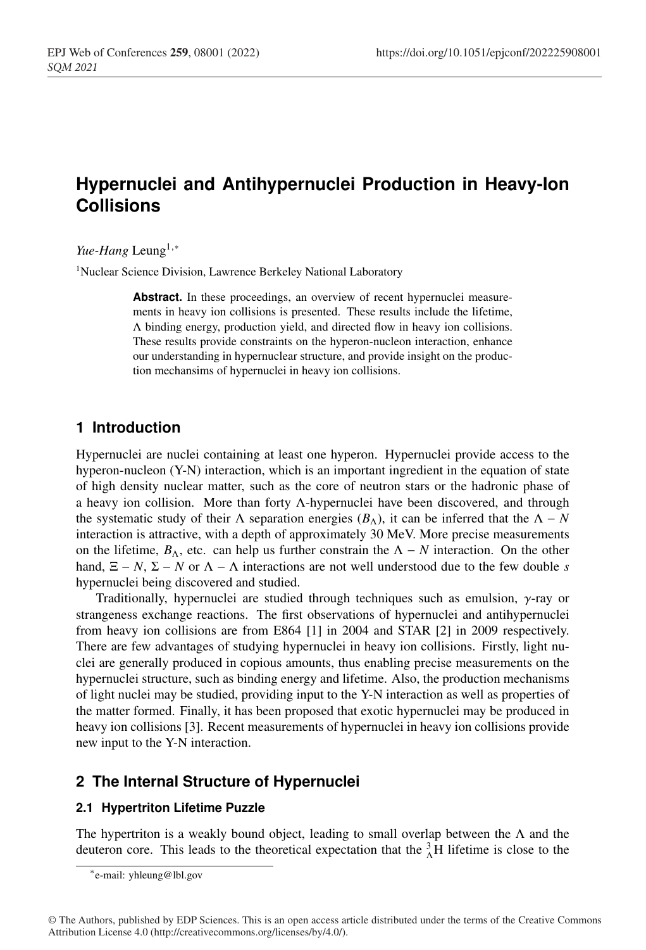## <sup>1</sup> **Hypernuclei and Antihypernuclei Production in Heavy-Ion** <sup>2</sup> **Collisions**

#### *Yue-Hang* Leung<sup>1,∗</sup>

<sup>1</sup> Nuclear Science Division, Lawrence Berkeley National Laboratory

Abstract. In these proceedings, an overview of recent hypernuclei measurements in heavy ion collisions is presented. These results include the lifetime, <sup>7</sup> Λ binding energy, production yield, and directed flow in heavy ion collisions. These results provide constraints on the hyperon-nucleon interaction, enhance our understanding in hypernuclear structure, and provide insight on the production mechansims of hypernuclei in heavy ion collisions.

### <sup>11</sup> **1 Introduction**

Hypernuclei are nuclei containing at least one hyperon. Hypernuclei provide access to the hyperon-nucleon (Y-N) interaction, which is an important ingredient in the equation of state of high density nuclear matter, such as the core of neutron stars or the hadronic phase of a heavy ion collision. More than forty Λ-hypernuclei have been discovered, and through the systematic study of their  $\Lambda$  separation energies ( $B_\Lambda$ ), it can be inferred that the  $\Lambda - N$ interaction is attractive, with a depth of approximately 30 MeV. More precise measurements on the lifetime,  $B_\Lambda$ , etc. can help us further constrain the  $\Lambda - N$  interaction. On the other hand,  $\Xi - N$ ,  $\Sigma - N$  or  $\Lambda - \Lambda$  interactions are not well understood due to the few double *s* hypernuclei being discovered and studied.

Traditionally, hypernuclei are studied through techniques such as emulsion,  $\gamma$ -ray or strangeness exchange reactions. The first observations of hypernuclei and antihypernuclei <sup>23</sup> from heavy ion collisions are from E864 [1] in 2004 and STAR [2] in 2009 respectively. There are few advantages of studying hypernuclei in heavy ion collisions. Firstly, light nu-<sup>25</sup> clei are generally produced in copious amounts, thus enabling precise measurements on the hypernuclei structure, such as binding energy and lifetime. Also, the production mechanisms <sup>27</sup> of light nuclei may be studied, providing input to the Y-N interaction as well as properties of <sup>28</sup> the matter formed. Finally, it has been proposed that exotic hypernuclei may be produced in heavy ion collisions [3]. Recent measurements of hypernuclei in heavy ion collisions provide new input to the Y-N interaction.

### <sup>31</sup> **2 The Internal Structure of Hypernuclei**

#### <sup>32</sup> **2.1 Hypertriton Lifetime Puzzle**

The hypertriton is a weakly bound object, leading to small overlap between the  $\Lambda$  and the deuteron core. This leads to the theoretical expectation that the  ${}_{\lambda}^{3}$ H lifetime is close to the

<sup>∗</sup>e-mail: yhleung@lbl.gov

<sup>©</sup> The Authors, published by EDP Sciences. This is an open access article distributed under the terms of the Creative Commons Attribution License 4.0 (http://creativecommons.org/licenses/by/4.0/).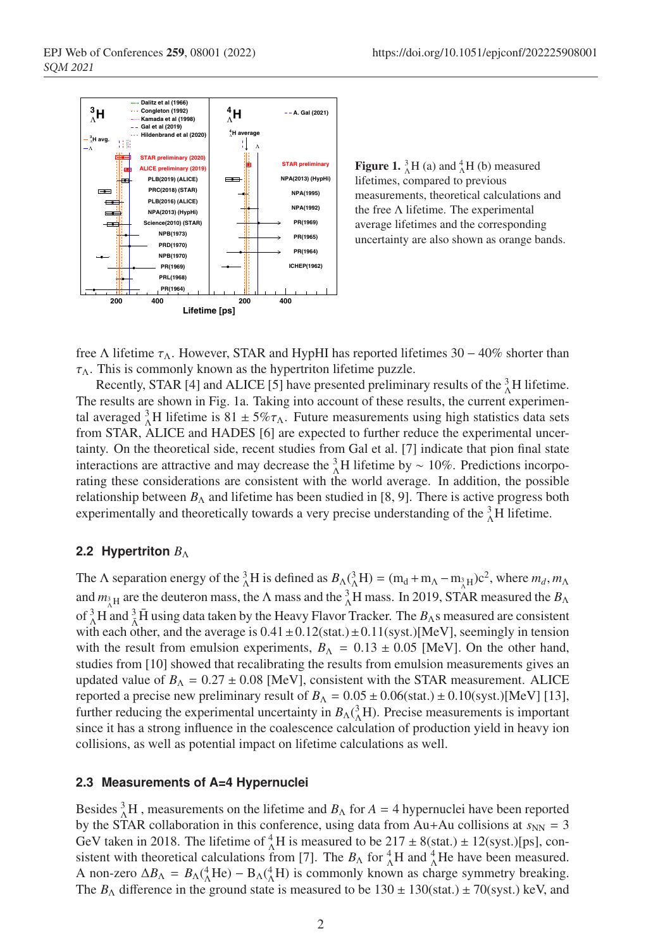

**Figure 1.**  ${}_{\Lambda}^{3}H$  (a) and  ${}_{\Lambda}^{4}H$  (b) measured lifetimes, compared to previous measurements, theoretical calculations and the free Λ lifetime. The experimental average lifetimes and the corresponding uncertainty are also shown as orange bands.

free Λ lifetime  $τ_Λ$ . However, STAR and HypHI has reported lifetimes 30 – 40% shorter than  $\tau_{\Lambda}$ . This is commonly known as the hypertriton lifetime puzzle.

Recently, STAR [4] and ALICE [5] have presented preliminary results of the  ${}^{3}_{\Lambda}$ H lifetime. The results are shown in Fig. 1a. Taking into account of these results, the current experimental averaged  ${}_{0}^{3}$ H lifetime is 81 ± 5% $\tau_{\Lambda}$ . Future measurements using high statistics data sets from STAR, ALICE and HADES [6] are expected to further reduce the experimental uncertainty. On the theoretical side, recent studies from Gal et al. [7] indicate that pion final state interactions are attractive and may decrease the  ${}_{\Lambda}^{3}$ H lifetime by ~ 10%. Predictions incorporating these considerations are consistent with the world average. In addition, the possible relationship between  $B_\Lambda$  and lifetime has been studied in [8, 9]. There is active progress both experimentally and theoretically towards a very precise understanding of the  ${}^{3}_{\Lambda}$ H lifetime.

#### **2.2 Hypertriton** *B*<sub>Λ</sub>

The  $\Lambda$  separation energy of the  ${}_{\Lambda}^{3}H$  is defined as  $B_{\Lambda}({}^{3}_{\Lambda}H) = (m_d + m_{\Lambda} - m_{\Lambda}^3H)c^2$ , where  $m_d, m_{\Lambda}$ and  $m_{\lambda H}$  are the deuteron mass, the  $\Lambda$  mass and the  ${}_{\Lambda}^3$ H mass. In 2019, STAR measured the  $B_{\Lambda}$ of <sup>3</sup><sub>Λ</sub>H and <sup>3</sup><sub>Λ</sub>H using data taken by the Heavy Flavor Tracker. The *B*<sub>Λ</sub>s measured are consistent with each other, and the average is  $0.41 \pm 0.12$ (stat.) $\pm 0.11$ (syst.)[MeV], seemingly in tension with the result from emulsion experiments,  $B_\Lambda = 0.13 \pm 0.05$  [MeV]. On the other hand, studies from [10] showed that recalibrating the results from emulsion measurements gives an updated value of  $B_\Lambda = 0.27 \pm 0.08$  [MeV], consistent with the STAR measurement. ALICE reported a precise new preliminary result of  $B_\Lambda = 0.05 \pm 0.06$  (stat.)  $\pm 0.10$  (syst.)[MeV] [13], further reducing the experimental uncertainty in  $B_\Lambda({}^3_\Lambda H)$ . Precise measurements is important since it has a strong influence in the coalescence calculation of production yield in heavy ion collisions, as well as potential impact on lifetime calculations as well.

#### <sup>58</sup> **2.3 Measurements of A=4 Hypernuclei**

Besides  ${}^{3}_{2}$ H, measurements on the lifetime and *B*<sub>Λ</sub> for *A* = 4 hypernuclei have been reported by the STAR collaboration in this conference, using data from  $Au+Au$  collisions at  $s_{NN} = 3$ GeV taken in 2018. The lifetime of  ${}_{\Lambda}^{4}$ H is measured to be 217  $\pm$  8(stat.)  $\pm$  12(syst.)[ps], consistent with theoretical calculations from [7]. The  $B_\Lambda$  for  ${}^4_\Lambda H$  and  ${}^4_\Lambda$ He have been measured. A non-zero  $\Delta B_{\Lambda} = B_{\Lambda}({}^4_{\Lambda}He) - B_{\Lambda}({}^4_{\Lambda}H)$  is commonly known as charge symmetry breaking. The  $B_\Lambda$  difference in the ground state is measured to be  $130 \pm 130$ (stat.)  $\pm 70$ (syst.) keV, and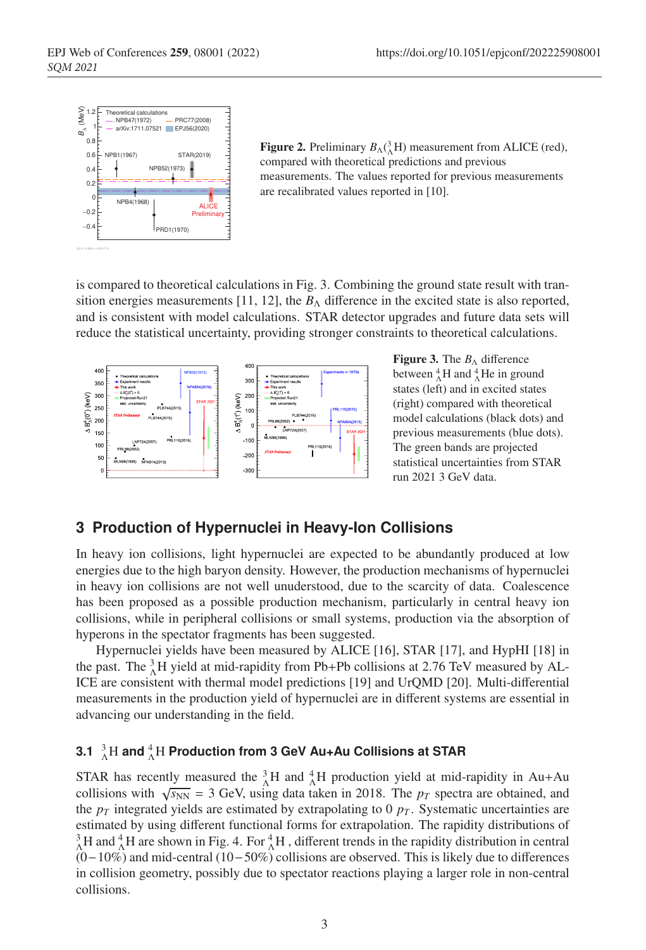

**Figure 2.** Preliminary  $B_{\Lambda}({}^{3}_{\Lambda}H)$  measurement from ALICE (red), compared with theoretical predictions and previous measurements. The values reported for previous measurements are recalibrated values reported in [10].

<sup>65</sup> is compared to theoretical calculations in Fig. 3. Combining the ground state result with transition energies measurements [11, 12], the  $B_\Lambda$  difference in the excited state is also reported, and is consistent with model calculations. STAR detector upgrades and future data sets will reduce the statistical uncertainty, providing stronger constraints to theoretical calculations.



**Figure 3.** The  $B_\Lambda$  difference between  ${}^{4}_{\Lambda}$ H and  ${}^{4}_{\Lambda}$ He in ground states (left) and in excited states (right) compared with theoretical model calculations (black dots) and previous measurements (blue dots). The green bands are projected statistical uncertainties from STAR run 2021 3 GeV data.

#### <sup>69</sup> **3 Production of Hypernuclei in Heavy-Ion Collisions**

In heavy ion collisions, light hypernuclei are expected to be abundantly produced at low energies due to the high baryon density. However, the production mechanisms of hypernuclei in heavy ion collisions are not well unuderstood, due to the scarcity of data. Coalescence has been proposed as a possible production mechanism, particularly in central heavy ion <sup>74</sup> collisions, while in peripheral collisions or small systems, production via the absorption of hyperons in the spectator fragments has been suggested.

Hypernuclei yields have been measured by ALICE [16], STAR [17], and HypHI [18] in the past. The  ${}^{3}_{2}$ H yield at mid-rapidity from Pb+Pb collisions at 2.76 TeV measured by AL-ICE are consistent with thermal model predictions [19] and UrQMD [20]. Multi-differential <sup>79</sup> measurements in the production yield of hypernuclei are in different systems are essential in advancing our understanding in the field.

## **3.1**  ${}^{3}_{\Lambda}\rm{H}$  and  ${}^{4}_{\Lambda}\rm{H}$  Production from 3 GeV Au+Au Collisions at STAR

STAR has recently measured the  ${}_{\Lambda}^{3}H$  and  ${}_{\Lambda}^{4}H$  production yield at mid-rapidity in Au+Au collisions with  $\sqrt{s_{NN}}$  = 3 GeV, using data taken in 2018. The  $p_T$  spectra are obtained, and the  $p_T$  integrated yields are estimated by extrapolating to 0  $p_T$ . Systematic uncertainties are estimated by using different functional forms for extrapolation. The rapidity distributions of  ${}_{\Lambda}^{3}$ H and  ${}_{\Lambda}^{4}$ H are shown in Fig. 4. For  ${}_{\Lambda}^{4}$ H, different trends in the rapidity distribution in central <sup>87</sup> (0−10%) and mid-central (10−50%) collisions are observed. This is likely due to differences <sup>88</sup> in collision geometry, possibly due to spectator reactions playing a larger role in non-central collisions.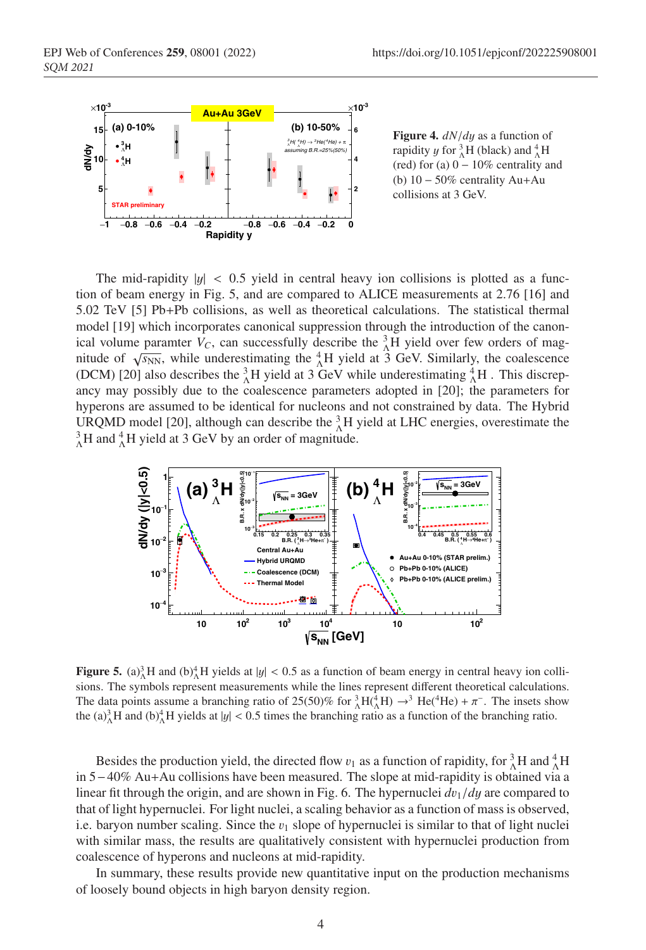

Figure 4. *dN*/*d*y as a function of rapidity *y* for  $^{3}_{\Lambda}$ H (black) and  $^{4}_{\Lambda}$ H (red) for (a)  $0 - 10\%$  centrality and (b) 10 − 50% centrality Au+Au collisions at 3 GeV.

The mid-rapidity  $|y| < 0.5$  yield in central heavy ion collisions is plotted as a func-<sup>91</sup> tion of beam energy in Fig. 5, and are compared to ALICE measurements at 2.76 [16] and <sup>92</sup> 5.02 TeV [5] Pb+Pb collisions, as well as theoretical calculations. The statistical thermal model [19] which incorporates canonical suppression through the introduction of the canonical volume paramter  $V_C$ , can successfully describe the  ${}_{\Lambda}^{3}$ H yield over few orders of magnitude of  $\sqrt{s_{NN}}$ , while underestimating the  $^{4}_{\Lambda}$ H yield at 3 GeV. Similarly, the coalescence (DCM) [20] also describes the  ${}^{3}_{\Lambda}H$  yield at 3 GeV while underestimating  ${}^{4}_{\Lambda}H$ . This discrepancy may possibly due to the coalescence parameters adopted in [20]; the parameters for hyperons are assumed to be identical for nucleons and not constrained by data. The Hybrid URQMD model [20], although can describe the  ${}^{3}_{\Lambda}$ H yield at LHC energies, overestimate the  $^{3}_{\Lambda}$ H and  $^{4}_{\Lambda}$ H yield at 3 GeV by an order of magnitude.



**Figure 5.** (a)<sup>3</sup><sub>A</sub>H and (b)<sup>4</sup><sub>A</sub>H yields at  $|y| < 0.5$  as a function of beam energy in central heavy ion collisions. The symbols represent measurements while the lines represent different theoretical calculations. The data points assume a branching ratio of 25(50)% for  ${}_{\Lambda}^{3}H({}_{\Lambda}^{4}H) \rightarrow {}^{3}He({}^{4}He) + \pi^{-}$ . The insets show the (a) $^{3}_{\Lambda}$ H and (b) $^{4}_{\Lambda}$ H yields at |y| < 0.5 times the branching ratio as a function of the branching ratio.

Besides the production yield, the directed flow  $v_1$  as a function of rapidity, for  ${}_{\Lambda}^3H$  and  ${}_{\Lambda}^4H$ <sup>102</sup> in 5−40% Au+Au collisions have been measured. The slope at mid-rapidity is obtained via a linear fit through the origin, and are shown in Fig. 6. The hypernuclei  $dv_1/dy$  are compared to that of light hypernuclei. For light nuclei, a scaling behavior as a function of mass is observed, i.e. baryon number scaling. Since the  $v_1$  slope of hypernuclei is similar to that of light nuclei with similar mass, the results are qualitatively consistent with hypernuclei production from coalescence of hyperons and nucleons at mid-rapidity.

In summary, these results provide new quantitative input on the production mechanisms of loosely bound objects in high baryon density region.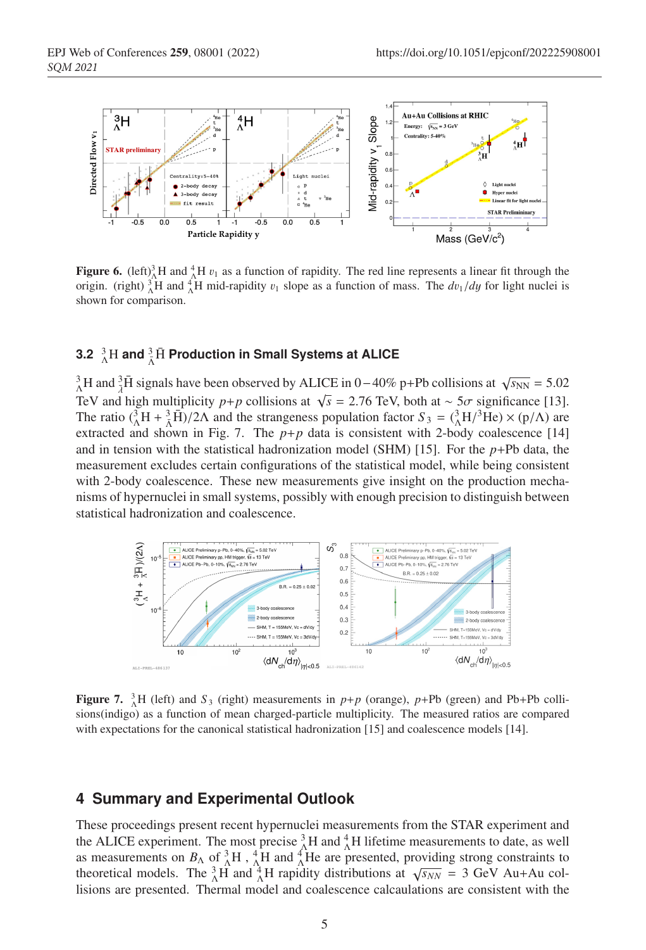

**Figure 6.** (left)<sup>3</sup><sub>A</sub>H and <sup>4</sup><sub>A</sub>H  $v_1$  as a function of rapidity. The red line represents a linear fit through the origin. (right)  ${}_{\Lambda}^{3}H$  and  ${}_{\Lambda}^{4}H$  mid-rapidity  $v_1$  slope as a function of mass. The  $dv_1/dy$  for light nuclei is shown for comparison.

# $3.2\,{}^{3}_{\Lambda}\text{H}$  and  $^{3}_{\bar{\Lambda}}\bar{\text{H}}$  Production in Small Systems at ALICE

 ${}_{\Lambda}^{3}$ H and  ${}_{\lambda}^{3}$ H signals have been observed by ALICE in 0 – 40% p+Pb collisions at  $\sqrt{s_{NN}}$  = 5.02 TeV and high multiplicity *p*+*p* collisions at  $\sqrt{s}$  = 2.76 TeV, both at ~ 5 $\sigma$  significance [13]. The ratio  $({}_{\Lambda}^{3}H + {}_{\Lambda}^{3}\bar{H})/2\Lambda$  and the strangeness population factor  $S_3 = ({}_{\Lambda}^{3}H/{}^{3}\bar{H}e) \times (p/\Lambda)$  are extracted and shown in Fig. 7. The  $p+p$  data is consistent with 2-body coalescence [14] and in tension with the statistical hadronization model (SHM) [15]. For the  $p+Pb$  data, the <sup>116</sup> measurement excludes certain configurations of the statistical model, while being consistent with 2-body coalescence. These new measurements give insight on the production mechanisms of hypernuclei in small systems, possibly with enough precision to distinguish between statistical hadronization and coalescence.



**Figure 7.**  ${}_{\Lambda}^{3}$ H (left) and  $S_3$  (right) measurements in  $p+p$  (orange),  $p+Pb$  (green) and Pb+Pb collisions(indigo) as a function of mean charged-particle multiplicity. The measured ratios are compared with expectations for the canonical statistical hadronization [15] and coalescence models [14].

#### <sup>120</sup> **4 Summary and Experimental Outlook**

These proceedings present recent hypernuclei measurements from the STAR experiment and the ALICE experiment. The most precise  ${}_{\Lambda}^{3}H$  and  ${}_{\Lambda}^{4}H$  lifetime measurements to date, as well as measurements on  $B_\Lambda$  of  ${}^3_\Lambda H$ ,  ${}^4_\Lambda H$  and  ${}^4_\Lambda H$ e are presented, providing strong constraints to theoretical models. The  ${}^{3}_{\Lambda}H$  and  ${}^{4}_{\Lambda}H$  rapidity distributions at  $\sqrt{s_{NN}}$  = 3 GeV Au+Au col-<sup>125</sup> lisions are presented. Thermal model and coalescence calcaulations are consistent with the